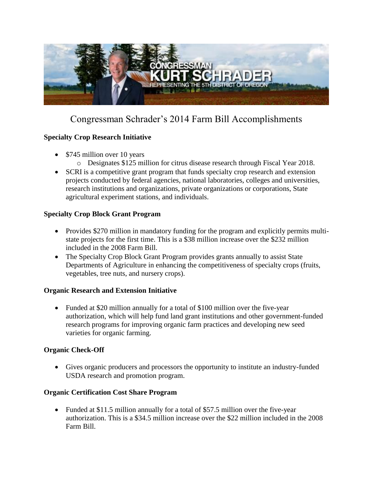

# Congressman Schrader's 2014 Farm Bill Accomplishments

## **Specialty Crop Research Initiative**

- \$745 million over 10 years
	- o Designates \$125 million for citrus disease research through Fiscal Year 2018.
- SCRI is a competitive grant program that funds specialty crop research and extension projects conducted by federal agencies, national laboratories, colleges and universities, research institutions and organizations, private organizations or corporations, State agricultural experiment stations, and individuals.

#### **Specialty Crop Block Grant Program**

- Provides \$270 million in mandatory funding for the program and explicitly permits multistate projects for the first time. This is a \$38 million increase over the \$232 million included in the 2008 Farm Bill.
- The Specialty Crop Block Grant Program provides grants annually to assist State Departments of Agriculture in enhancing the competitiveness of specialty crops (fruits, vegetables, tree nuts, and nursery crops).

#### **Organic Research and Extension Initiative**

• Funded at \$20 million annually for a total of \$100 million over the five-year authorization, which will help fund land grant institutions and other government-funded research programs for improving organic farm practices and developing new seed varieties for organic farming.

#### **Organic Check-Off**

 Gives organic producers and processors the opportunity to institute an industry-funded USDA research and promotion program.

#### **Organic Certification Cost Share Program**

 Funded at \$11.5 million annually for a total of \$57.5 million over the five-year authorization. This is a \$34.5 million increase over the \$22 million included in the 2008 Farm Bill.